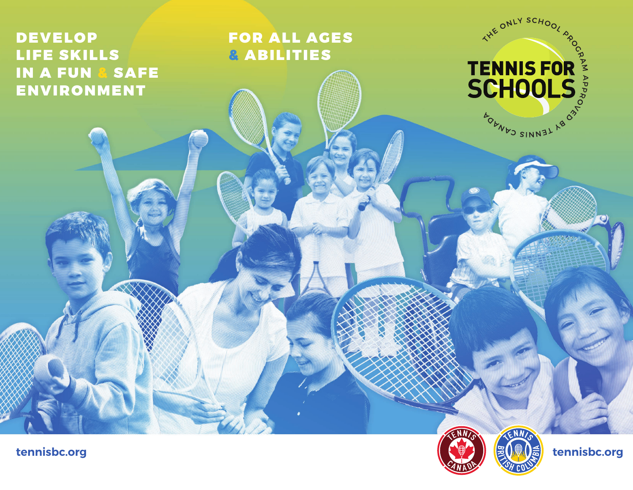## DEVELOP LIFE SKILLS IN A FUN & SAFE ENVIRONMENT

FOR ALL AGES & ABILITIES



 $ENN$ 

ATTENNIS FOR